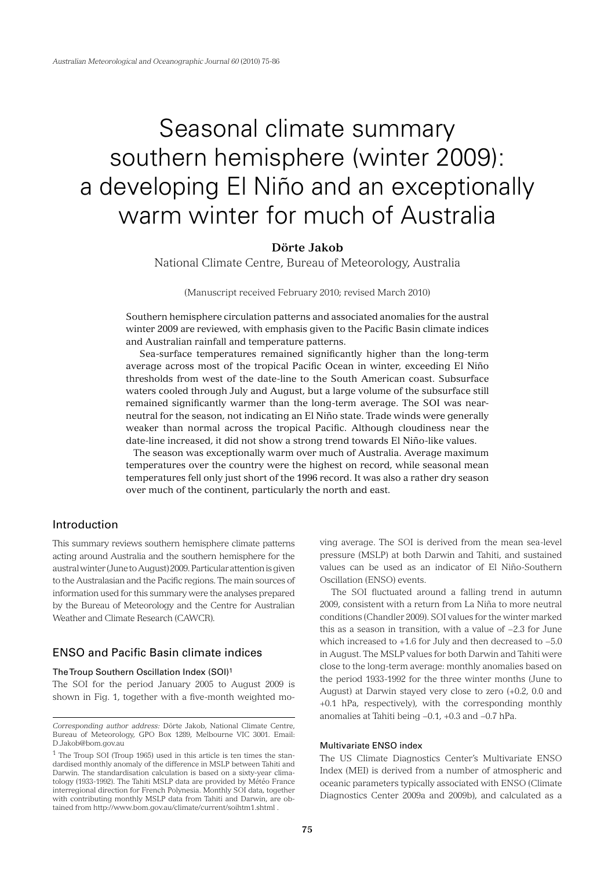# Seasonal climate summary southern hemisphere (winter 2009): a developing El Niño and an exceptionally warm winter for much of Australia

# **Dörte Jakob**

National Climate Centre, Bureau of Meteorology, Australia

(Manuscript received February 2010; revised March 2010)

Southern hemisphere circulation patterns and associated anomalies for the austral winter 2009 are reviewed, with emphasis given to the Pacific Basin climate indices and Australian rainfall and temperature patterns.

 Sea-surface temperatures remained significantly higher than the long-term average across most of the tropical Pacific Ocean in winter, exceeding El Niño thresholds from west of the date-line to the South American coast. Subsurface waters cooled through July and August, but a large volume of the subsurface still remained significantly warmer than the long-term average. The SOI was nearneutral for the season, not indicating an El Niño state. Trade winds were generally weaker than normal across the tropical Pacific. Although cloudiness near the date-line increased, it did not show a strong trend towards El Niño-like values.

 The season was exceptionally warm over much of Australia. Average maximum temperatures over the country were the highest on record, while seasonal mean temperatures fell only just short of the 1996 record. It was also a rather dry season over much of the continent, particularly the north and east.

# Introduction

This summary reviews southern hemisphere climate patterns acting around Australia and the southern hemisphere for the austral winter (June to August) 2009. Particular attention is given to the Australasian and the Pacific regions. The main sources of information used for this summary were the analyses prepared by the Bureau of Meteorology and the Centre for Australian Weather and Climate Research (CAWCR).

## ENSO and Pacific Basin climate indices

## The Troup Southern Oscillation Index (SOI)1

The SOI for the period January 2005 to August 2009 is shown in Fig. 1, together with a five-month weighted moving average. The SOI is derived from the mean sea-level pressure (MSLP) at both Darwin and Tahiti, and sustained values can be used as an indicator of El Niño-Southern Oscillation (ENSO) events.

The SOI fluctuated around a falling trend in autumn 2009, consistent with a return from La Niña to more neutral conditions (Chandler 2009). SOI values for the winter marked this as a season in transition, with a value of −2.3 for June which increased to +1.6 for July and then decreased to −5.0 in August. The MSLP values for both Darwin and Tahiti were close to the long-term average: monthly anomalies based on the period 1933-1992 for the three winter months (June to August) at Darwin stayed very close to zero (+0.2, 0.0 and +0.1 hPa, respectively), with the corresponding monthly anomalies at Tahiti being −0.1, +0.3 and −0.7 hPa.

#### Multivariate ENSO index

The US Climate Diagnostics Center's Multivariate ENSO Index (MEI) is derived from a number of atmospheric and oceanic parameters typically associated with ENSO (Climate Diagnostics Center 2009a and 2009b), and calculated as a

*Corresponding author address:* Dörte Jakob, National Climate Centre, Bureau of Meteorology, GPO Box 1289, Melbourne VIC 3001. Email: D.Jakob@bom.gov.au

<sup>1</sup> The Troup SOI (Troup 1965) used in this article is ten times the standardised monthly anomaly of the difference in MSLP between Tahiti and Darwin. The standardisation calculation is based on a sixty-year climatology (1933-1992). The Tahiti MSLP data are provided by Météo France interregional direction for French Polynesia. Monthly SOI data, together with contributing monthly MSLP data from Tahiti and Darwin, are obtained from http://www.bom.gov.au/climate/current/soihtm1.shtml .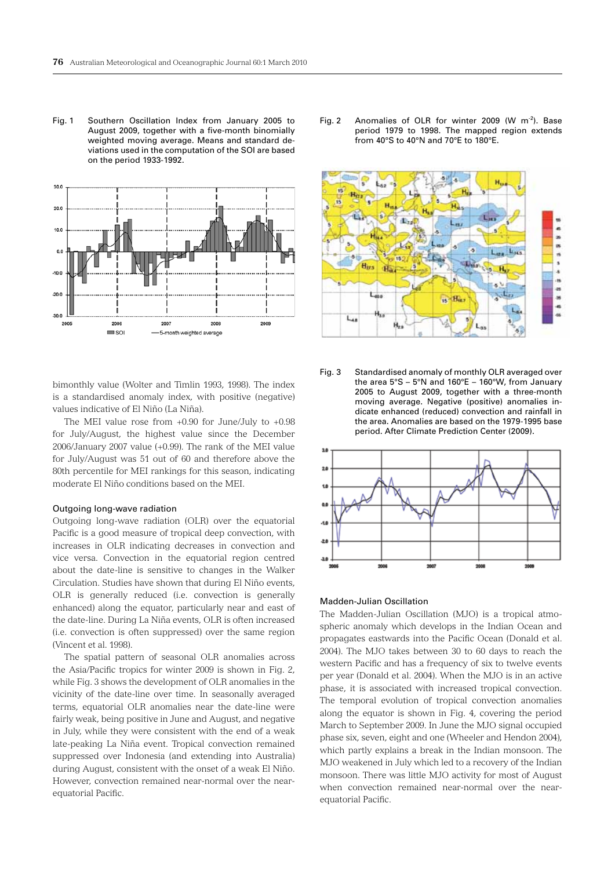Fig. 1 Southern Oscillation Index from January 2005 to August 2009, together with a five-month binomially weighted moving average. Means and standard deviations used in the computation of the SOI are based on the period 1933-1992.



bimonthly value (Wolter and Timlin 1993, 1998). The index is a standardised anomaly index, with positive (negative) values indicative of El Niño (La Niña).

The MEI value rose from +0.90 for June/July to +0.98 for July/August, the highest value since the December 2006/January 2007 value (+0.99). The rank of the MEI value for July/August was 51 out of 60 and therefore above the 80th percentile for MEI rankings for this season, indicating moderate El Niño conditions based on the MEI.

#### Outgoing long-wave radiation

Outgoing long-wave radiation (OLR) over the equatorial Pacific is a good measure of tropical deep convection, with increases in OLR indicating decreases in convection and vice versa. Convection in the equatorial region centred about the date-line is sensitive to changes in the Walker Circulation. Studies have shown that during El Niño events, OLR is generally reduced (i.e. convection is generally enhanced) along the equator, particularly near and east of the date-line. During La Niña events, OLR is often increased (i.e. convection is often suppressed) over the same region (Vincent et al. 1998).

The spatial pattern of seasonal OLR anomalies across the Asia/Pacific tropics for winter 2009 is shown in Fig. 2, while Fig. 3 shows the development of OLR anomalies in the vicinity of the date-line over time. In seasonally averaged terms, equatorial OLR anomalies near the date-line were fairly weak, being positive in June and August, and negative in July, while they were consistent with the end of a weak late-peaking La Niña event. Tropical convection remained suppressed over Indonesia (and extending into Australia) during August, consistent with the onset of a weak El Niño. However, convection remained near-normal over the nearequatorial Pacific.

Fig. 2 Anomalies of OLR for winter 2009 (W m<sup>-2</sup>). Base period 1979 to 1998. The mapped region extends from 40°S to 40°N and 70°E to 180°E.



Fig. 3 Standardised anomaly of monthly OLR averaged over the area 5°S – 5°N and 160°E – 160°W, from January 2005 to August 2009, together with a three-month moving average. Negative (positive) anomalies indicate enhanced (reduced) convection and rainfall in the area. Anomalies are based on the 1979-1995 base period. After Climate Prediction Center (2009).



#### Madden-Julian Oscillation

The Madden-Julian Oscillation (MJO) is a tropical atmospheric anomaly which develops in the Indian Ocean and propagates eastwards into the Pacific Ocean (Donald et al. 2004). The MJO takes between 30 to 60 days to reach the western Pacific and has a frequency of six to twelve events per year (Donald et al. 2004). When the MJO is in an active phase, it is associated with increased tropical convection. The temporal evolution of tropical convection anomalies along the equator is shown in Fig. 4, covering the period March to September 2009. In June the MJO signal occupied phase six, seven, eight and one (Wheeler and Hendon 2004), which partly explains a break in the Indian monsoon. The MJO weakened in July which led to a recovery of the Indian monsoon. There was little MJO activity for most of August when convection remained near-normal over the nearequatorial Pacific.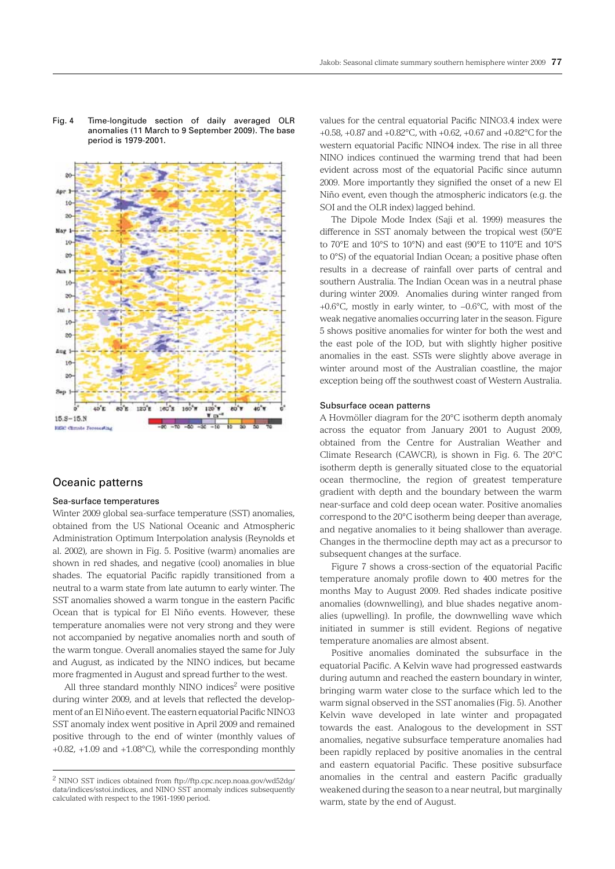Fig. 4 Time-longitude section of daily averaged OLR anomalies (11 March to 9 September 2009). The base period is 1979-2001.



## Oceanic patterns

## Sea-surface temperatures

Winter 2009 global sea-surface temperature (SST) anomalies, obtained from the US National Oceanic and Atmospheric Administration Optimum Interpolation analysis (Reynolds et al. 2002), are shown in Fig. 5. Positive (warm) anomalies are shown in red shades, and negative (cool) anomalies in blue shades. The equatorial Pacific rapidly transitioned from a neutral to a warm state from late autumn to early winter. The SST anomalies showed a warm tongue in the eastern Pacific Ocean that is typical for El Niño events. However, these temperature anomalies were not very strong and they were not accompanied by negative anomalies north and south of the warm tongue. Overall anomalies stayed the same for July and August, as indicated by the NINO indices, but became more fragmented in August and spread further to the west.

All three standard monthly NINO indices<sup>2</sup> were positive during winter 2009, and at levels that reflected the development of an El Niño event. The eastern equatorial Pacific NINO3 SST anomaly index went positive in April 2009 and remained positive through to the end of winter (monthly values of +0.82, +1.09 and +1.08°C), while the corresponding monthly

values for the central equatorial Pacific NINO3.4 index were +0.58, +0.87 and +0.82°C, with +0.62, +0.67 and +0.82°C for the western equatorial Pacific NINO4 index. The rise in all three NINO indices continued the warming trend that had been evident across most of the equatorial Pacific since autumn 2009. More importantly they signified the onset of a new El Niño event, even though the atmospheric indicators (e.g. the SOI and the OLR index) lagged behind.

The Dipole Mode Index (Saji et al. 1999) measures the difference in SST anomaly between the tropical west (50°E to 70°E and 10°S to 10°N) and east (90°E to 110°E and 10°S to 0°S) of the equatorial Indian Ocean; a positive phase often results in a decrease of rainfall over parts of central and southern Australia. The Indian Ocean was in a neutral phase during winter 2009. Anomalies during winter ranged from +0.6°C, mostly in early winter, to −0.6°C, with most of the weak negative anomalies occurring later in the season. Figure 5 shows positive anomalies for winter for both the west and the east pole of the IOD, but with slightly higher positive anomalies in the east. SSTs were slightly above average in winter around most of the Australian coastline, the major exception being off the southwest coast of Western Australia.

#### Subsurface ocean patterns

A Hovmöller diagram for the 20°C isotherm depth anomaly across the equator from January 2001 to August 2009, obtained from the Centre for Australian Weather and Climate Research (CAWCR), is shown in Fig. 6. The 20°C isotherm depth is generally situated close to the equatorial ocean thermocline, the region of greatest temperature gradient with depth and the boundary between the warm near-surface and cold deep ocean water. Positive anomalies correspond to the 20°C isotherm being deeper than average, and negative anomalies to it being shallower than average. Changes in the thermocline depth may act as a precursor to subsequent changes at the surface.

Figure 7 shows a cross-section of the equatorial Pacific temperature anomaly profile down to 400 metres for the months May to August 2009. Red shades indicate positive anomalies (downwelling), and blue shades negative anomalies (upwelling). In profile, the downwelling wave which initiated in summer is still evident. Regions of negative temperature anomalies are almost absent.

Positive anomalies dominated the subsurface in the equatorial Pacific. A Kelvin wave had progressed eastwards during autumn and reached the eastern boundary in winter, bringing warm water close to the surface which led to the warm signal observed in the SST anomalies (Fig. 5). Another Kelvin wave developed in late winter and propagated towards the east. Analogous to the development in SST anomalies, negative subsurface temperature anomalies had been rapidly replaced by positive anomalies in the central and eastern equatorial Pacific. These positive subsurface anomalies in the central and eastern Pacific gradually weakened during the season to a near neutral, but marginally warm, state by the end of August.

<sup>2</sup> NINO SST indices obtained from ftp://ftp.cpc.ncep.noaa.gov/wd52dg/ data/indices/sstoi.indices, and NINO SST anomaly indices subsequently calculated with respect to the 1961-1990 period.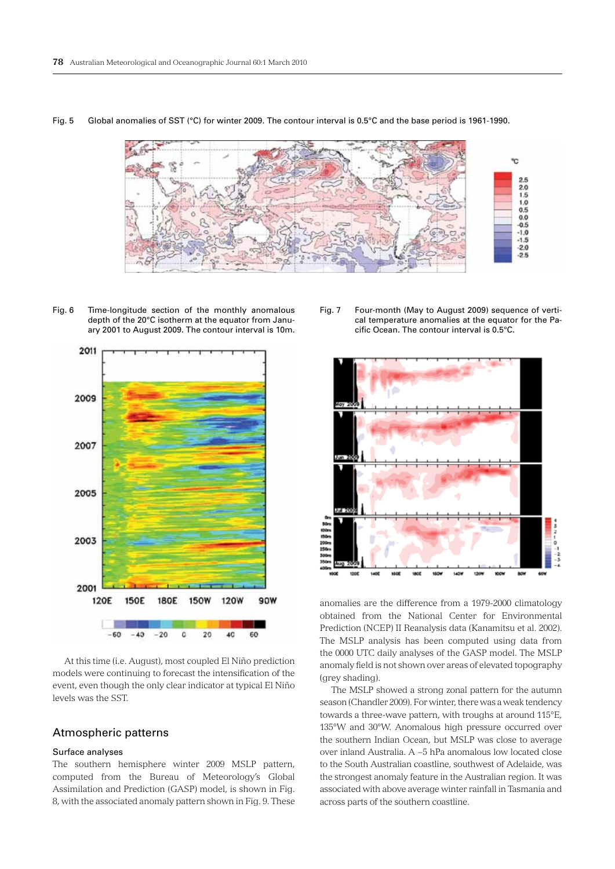

Fig. 5 Global anomalies of SST (°C) for winter 2009. The contour interval is 0.5°C and the base period is 1961-1990.

Fig. 6 Time-longitude section of the monthly anomalous depth of the 20°C isotherm at the equator from January 2001 to August 2009. The contour interval is 10m.



At this time (i.e. August), most coupled El Niño prediction models were continuing to forecast the intensification of the event, even though the only clear indicator at typical El Niño levels was the SST.

## Atmospheric patterns

#### Surface analyses

The southern hemisphere winter 2009 MSLP pattern, computed from the Bureau of Meteorology's Global Assimilation and Prediction (GASP) model, is shown in Fig. 8, with the associated anomaly pattern shown in Fig. 9. These

Fig. 7 Four-month (May to August 2009) sequence of vertical temperature anomalies at the equator for the Pacific Ocean. The contour interval is 0.5°C.



anomalies are the difference from a 1979-2000 climatology obtained from the National Center for Environmental Prediction (NCEP) II Reanalysis data (Kanamitsu et al. 2002). The MSLP analysis has been computed using data from the 0000 UTC daily analyses of the GASP model. The MSLP anomaly field is not shown over areas of elevated topography (grey shading).

The MSLP showed a strong zonal pattern for the autumn season (Chandler 2009). For winter, there was a weak tendency towards a three-wave pattern, with troughs at around 115°E, 135°W and 30°W. Anomalous high pressure occurred over the southern Indian Ocean, but MSLP was close to average over inland Australia. A −5 hPa anomalous low located close to the South Australian coastline, southwest of Adelaide, was the strongest anomaly feature in the Australian region. It was associated with above average winter rainfall in Tasmania and across parts of the southern coastline.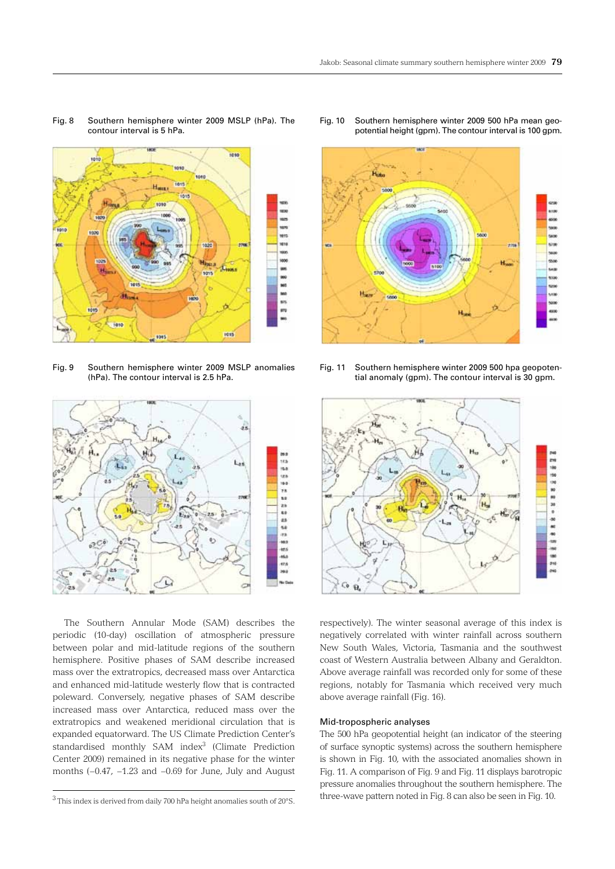

Fig. 8 Southern hemisphere winter 2009 MSLP (hPa). The

contour interval is 5 hPa.

Fig. 9 Southern hemisphere winter 2009 MSLP anomalies (hPa). The contour interval is 2.5 hPa.



The Southern Annular Mode (SAM) describes the periodic (10-day) oscillation of atmospheric pressure between polar and mid-latitude regions of the southern hemisphere. Positive phases of SAM describe increased mass over the extratropics, decreased mass over Antarctica and enhanced mid-latitude westerly flow that is contracted poleward. Conversely, negative phases of SAM describe increased mass over Antarctica, reduced mass over the extratropics and weakened meridional circulation that is expanded equatorward. The US Climate Prediction Center's standardised monthly SAM index<sup>3</sup> (Climate Prediction Center 2009) remained in its negative phase for the winter months (−0.47, −1.23 and −0.69 for June, July and August

Fig. 10 Southern hemisphere winter 2009 500 hPa mean geopotential height (gpm). The contour interval is 100 gpm.



Fig. 11 Southern hemisphere winter 2009 500 hpa geopotential anomaly (gpm). The contour interval is 30 gpm.



respectively). The winter seasonal average of this index is negatively correlated with winter rainfall across southern New South Wales, Victoria, Tasmania and the southwest coast of Western Australia between Albany and Geraldton. Above average rainfall was recorded only for some of these regions, notably for Tasmania which received very much above average rainfall (Fig. 16).

## Mid-tropospheric analyses

The 500 hPa geopotential height (an indicator of the steering of surface synoptic systems) across the southern hemisphere is shown in Fig. 10, with the associated anomalies shown in Fig. 11. A comparison of Fig. 9 and Fig. 11 displays barotropic pressure anomalies throughout the southern hemisphere. The three-wave pattern noted in Fig. 8 can also be seen in Fig. 10.

<sup>3</sup> This index is derived from daily 700 hPa height anomalies south of 20°S.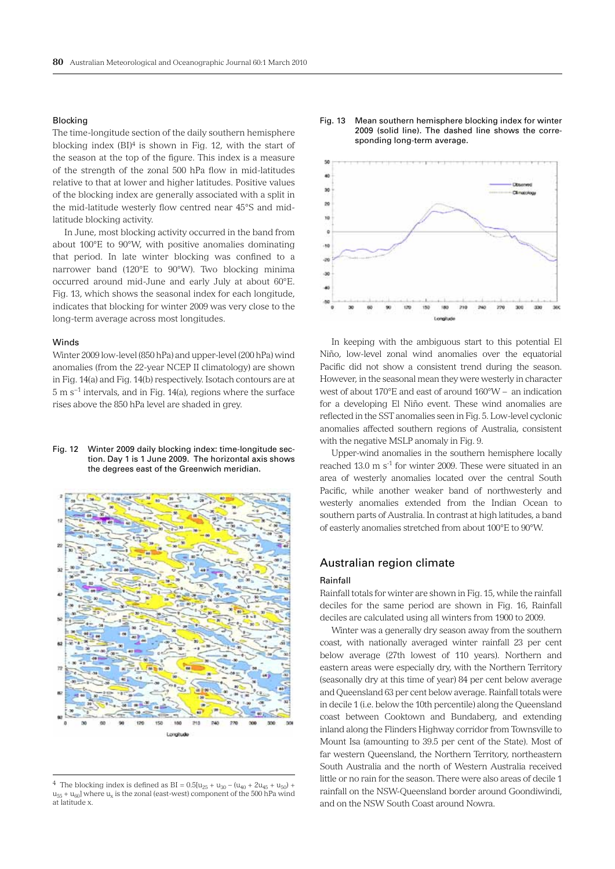#### Blocking

The time-longitude section of the daily southern hemisphere blocking index (BI)4 is shown in Fig. 12, with the start of the season at the top of the figure. This index is a measure of the strength of the zonal 500 hPa flow in mid-latitudes relative to that at lower and higher latitudes. Positive values of the blocking index are generally associated with a split in the mid-latitude westerly flow centred near 45°S and midlatitude blocking activity.

In June, most blocking activity occurred in the band from about 100°E to 90°W, with positive anomalies dominating that period. In late winter blocking was confined to a narrower band (120°E to 90°W). Two blocking minima occurred around mid-June and early July at about 60°E. Fig. 13, which shows the seasonal index for each longitude, indicates that blocking for winter 2009 was very close to the long-term average across most longitudes.

#### **Winds**

Winter 2009 low-level (850 hPa) and upper-level (200 hPa) wind anomalies (from the 22-year NCEP II climatology) are shown in Fig. 14(a) and Fig. 14(b) respectively. Isotach contours are at 5 m s−1 intervals, and in Fig. 14(a), regions where the surface rises above the 850 hPa level are shaded in grey.

Fig. 12 Winter 2009 daily blocking index: time-longitude section. Day 1 is 1 June 2009. The horizontal axis shows the degrees east of the Greenwich meridian.



<sup>&</sup>lt;sup>4</sup> The blocking index is defined as BI =  $0.5[u_{25} + u_{30} - (u_{40} + 2u_{45} + u_{50}) +$  $u_{55} + u_{60}$ ] where  $u_x$  is the zonal (east-west) component of the 500 hPa wind at latitude x.





In keeping with the ambiguous start to this potential El Niño, low-level zonal wind anomalies over the equatorial Pacific did not show a consistent trend during the season. However, in the seasonal mean they were westerly in character west of about 170°E and east of around 160°W – an indication for a developing El Niño event. These wind anomalies are reflected in the SST anomalies seen in Fig. 5. Low-level cyclonic anomalies affected southern regions of Australia, consistent with the negative MSLP anomaly in Fig. 9.

Upper-wind anomalies in the southern hemisphere locally reached 13.0 m s<sup>-1</sup> for winter 2009. These were situated in an area of westerly anomalies located over the central South Pacific, while another weaker band of northwesterly and westerly anomalies extended from the Indian Ocean to southern parts of Australia. In contrast at high latitudes, a band of easterly anomalies stretched from about 100°E to 90°W.

## Australian region climate

#### Rainfall

Rainfall totals for winter are shown in Fig. 15, while the rainfall deciles for the same period are shown in Fig. 16, Rainfall deciles are calculated using all winters from 1900 to 2009.

Winter was a generally dry season away from the southern coast, with nationally averaged winter rainfall 23 per cent below average (27th lowest of 110 years). Northern and eastern areas were especially dry, with the Northern Territory (seasonally dry at this time of year) 84 per cent below average and Queensland 63 per cent below average. Rainfall totals were in decile 1 (i.e. below the 10th percentile) along the Queensland coast between Cooktown and Bundaberg, and extending inland along the Flinders Highway corridor from Townsville to Mount Isa (amounting to 39.5 per cent of the State). Most of far western Queensland, the Northern Territory, northeastern South Australia and the north of Western Australia received little or no rain for the season. There were also areas of decile 1 rainfall on the NSW-Queensland border around Goondiwindi, and on the NSW South Coast around Nowra.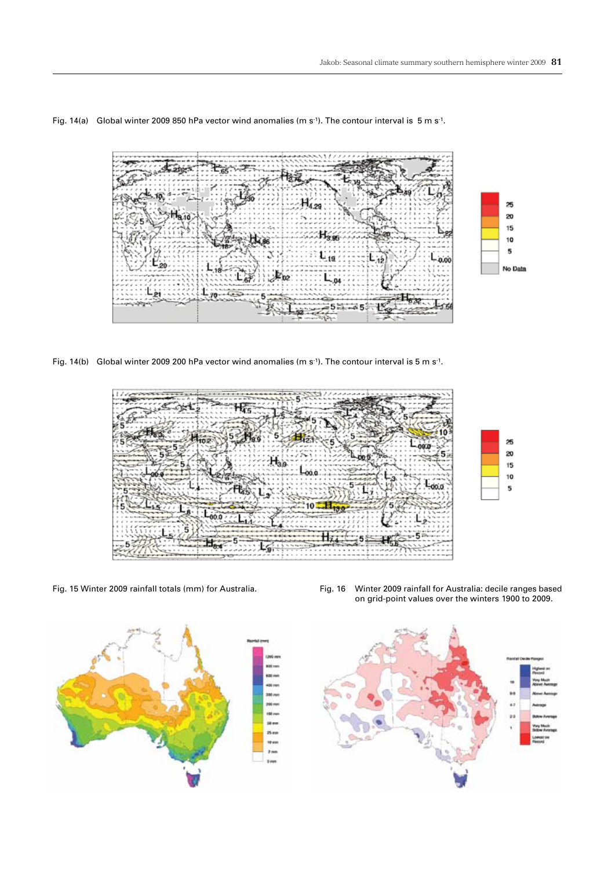

Fig. 14(a) Global winter 2009 850 hPa vector wind anomalies (m s<sup>-1</sup>). The contour interval is 5 m s<sup>-1</sup>.

Fig. 14(b) Global winter 2009 200 hPa vector wind anomalies (m s-1). The contour interval is 5 m s-1.





Fig. 15 Winter 2009 rainfall totals (mm) for Australia. Fig. 16 Winter 2009 rainfall for Australia: decile ranges based on grid-point values over the winters 1900 to 2009.

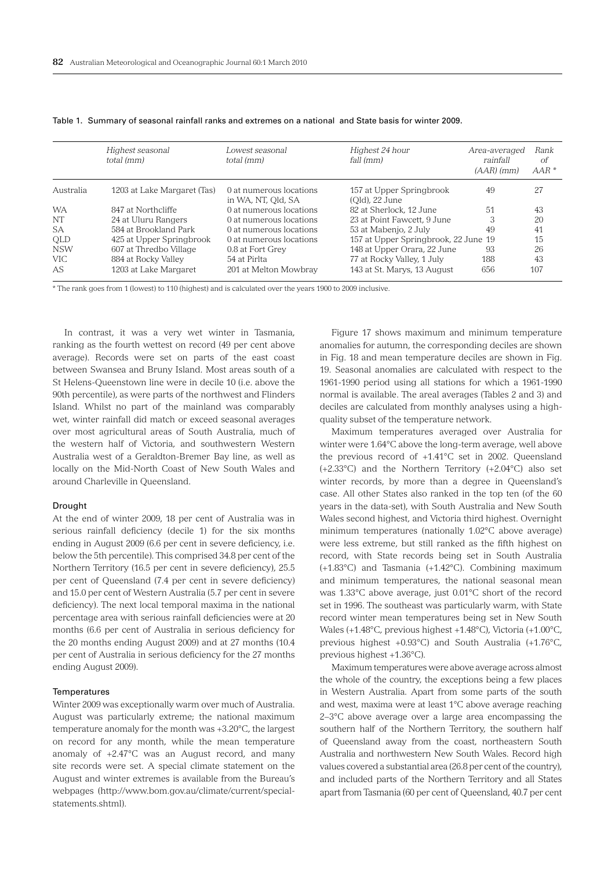|            | Highest seasonal<br>total (mm) | Lowest seasonal<br>total (mm) | Highest 24 hour<br>fall (mm)         | Area-averaged<br>rainfall<br>$(AAR)$ (mm) | Rank<br>οf<br>$AAR*$ |
|------------|--------------------------------|-------------------------------|--------------------------------------|-------------------------------------------|----------------------|
| Australia  | 1203 at Lake Margaret (Tas)    | 0 at numerous locations       | 157 at Upper Springbrook             | 49                                        | 27                   |
|            |                                | in WA, NT, Old, SA            | (Old), 22 June                       |                                           |                      |
| <b>WA</b>  | 847 at Northcliffe             | 0 at numerous locations       | 82 at Sherlock, 12 June              | 51                                        | 43                   |
| NT         | 24 at Uluru Rangers            | 0 at numerous locations       | 23 at Point Fawcett, 9 June          | 3                                         | 20                   |
| <b>SA</b>  | 584 at Brookland Park          | 0 at numerous locations       | 53 at Mabenjo, 2 July                | 49                                        | 41                   |
| <b>OLD</b> | 425 at Upper Springbrook       | 0 at numerous locations       | 157 at Upper Springbrook, 22 June 19 |                                           | 15                   |
| <b>NSW</b> | 607 at Thredbo Village         | 0.8 at Fort Grey              | 148 at Upper Orara, 22 June          | 93                                        | 26                   |
| <b>VIC</b> | 884 at Rocky Valley            | 54 at Pirlta                  | 77 at Rocky Valley, 1 July           | 188                                       | 43                   |
| AS         | 1203 at Lake Margaret          | 201 at Melton Mowbray         | 143 at St. Marys, 13 August          | 656                                       | 107                  |

Table 1. Summary of seasonal rainfall ranks and extremes on a national and State basis for winter 2009.

\* The rank goes from 1 (lowest) to 110 (highest) and is calculated over the years 1900 to 2009 inclusive.

In contrast, it was a very wet winter in Tasmania, ranking as the fourth wettest on record (49 per cent above average). Records were set on parts of the east coast between Swansea and Bruny Island. Most areas south of a St Helens-Queenstown line were in decile 10 (i.e. above the 90th percentile), as were parts of the northwest and Flinders Island. Whilst no part of the mainland was comparably wet, winter rainfall did match or exceed seasonal averages over most agricultural areas of South Australia, much of the western half of Victoria, and southwestern Western Australia west of a Geraldton-Bremer Bay line, as well as locally on the Mid-North Coast of New South Wales and around Charleville in Queensland.

#### Drought

At the end of winter 2009, 18 per cent of Australia was in serious rainfall deficiency (decile 1) for the six months ending in August 2009 (6.6 per cent in severe deficiency, i.e. below the 5th percentile). This comprised 34.8 per cent of the Northern Territory (16.5 per cent in severe deficiency), 25.5 per cent of Queensland (7.4 per cent in severe deficiency) and 15.0 per cent of Western Australia (5.7 per cent in severe deficiency). The next local temporal maxima in the national percentage area with serious rainfall deficiencies were at 20 months (6.6 per cent of Australia in serious deficiency for the 20 months ending August 2009) and at 27 months (10.4 per cent of Australia in serious deficiency for the 27 months ending August 2009).

#### **Temperatures**

Winter 2009 was exceptionally warm over much of Australia. August was particularly extreme; the national maximum temperature anomaly for the month was +3.20°C, the largest on record for any month, while the mean temperature anomaly of +2.47°C was an August record, and many site records were set. A special climate statement on the August and winter extremes is available from the Bureau's webpages (http://www.bom.gov.au/climate/current/specialstatements.shtml).

Figure 17 shows maximum and minimum temperature anomalies for autumn, the corresponding deciles are shown in Fig. 18 and mean temperature deciles are shown in Fig. 19. Seasonal anomalies are calculated with respect to the 1961-1990 period using all stations for which a 1961-1990 normal is available. The areal averages (Tables 2 and 3) and deciles are calculated from monthly analyses using a highquality subset of the temperature network.

Maximum temperatures averaged over Australia for winter were 1.64°C above the long-term average, well above the previous record of +1.41°C set in 2002. Queensland (+2.33°C) and the Northern Territory (+2.04°C) also set winter records, by more than a degree in Queensland's case. All other States also ranked in the top ten (of the 60 years in the data-set), with South Australia and New South Wales second highest, and Victoria third highest. Overnight minimum temperatures (nationally 1.02°C above average) were less extreme, but still ranked as the fifth highest on record, with State records being set in South Australia (+1.83°C) and Tasmania (+1.42°C). Combining maximum and minimum temperatures, the national seasonal mean was 1.33°C above average, just 0.01°C short of the record set in 1996. The southeast was particularly warm, with State record winter mean temperatures being set in New South Wales (+1.48°C, previous highest +1.48°C), Victoria (+1.00°C, previous highest +0.93°C) and South Australia (+1.76°C, previous highest +1.36°C).

Maximum temperatures were above average across almost the whole of the country, the exceptions being a few places in Western Australia. Apart from some parts of the south and west, maxima were at least 1°C above average reaching 2−3°C above average over a large area encompassing the southern half of the Northern Territory, the southern half of Queensland away from the coast, northeastern South Australia and northwestern New South Wales. Record high values covered a substantial area (26.8 per cent of the country), and included parts of the Northern Territory and all States apart from Tasmania (60 per cent of Queensland, 40.7 per cent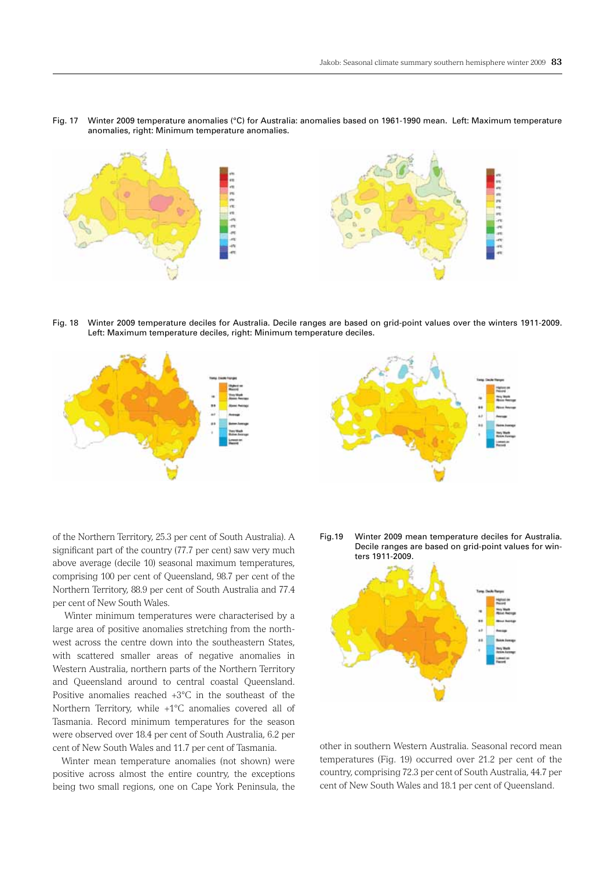Fig. 17 Winter 2009 temperature anomalies (°C) for Australia: anomalies based on 1961-1990 mean. Left: Maximum temperature anomalies, right: Minimum temperature anomalies.



Fig. 18 Winter 2009 temperature deciles for Australia. Decile ranges are based on grid-point values over the winters 1911-2009. Left: Maximum temperature deciles, right: Minimum temperature deciles.



of the Northern Territory, 25.3 per cent of South Australia). A significant part of the country (77.7 per cent) saw very much above average (decile 10) seasonal maximum temperatures, comprising 100 per cent of Queensland, 98.7 per cent of the Northern Territory, 88.9 per cent of South Australia and 77.4 per cent of New South Wales.

Winter minimum temperatures were characterised by a large area of positive anomalies stretching from the northwest across the centre down into the southeastern States, with scattered smaller areas of negative anomalies in Western Australia, northern parts of the Northern Territory and Queensland around to central coastal Queensland. Positive anomalies reached +3°C in the southeast of the Northern Territory, while +1°C anomalies covered all of Tasmania. Record minimum temperatures for the season were observed over 18.4 per cent of South Australia, 6.2 per cent of New South Wales and 11.7 per cent of Tasmania.

 Winter mean temperature anomalies (not shown) were positive across almost the entire country, the exceptions being two small regions, one on Cape York Peninsula, the



Fig.19 Winter 2009 mean temperature deciles for Australia. Decile ranges are based on grid-point values for winters 1911-2009.



other in southern Western Australia. Seasonal record mean temperatures (Fig. 19) occurred over 21.2 per cent of the country, comprising 72.3 per cent of South Australia, 44.7 per cent of New South Wales and 18.1 per cent of Queensland.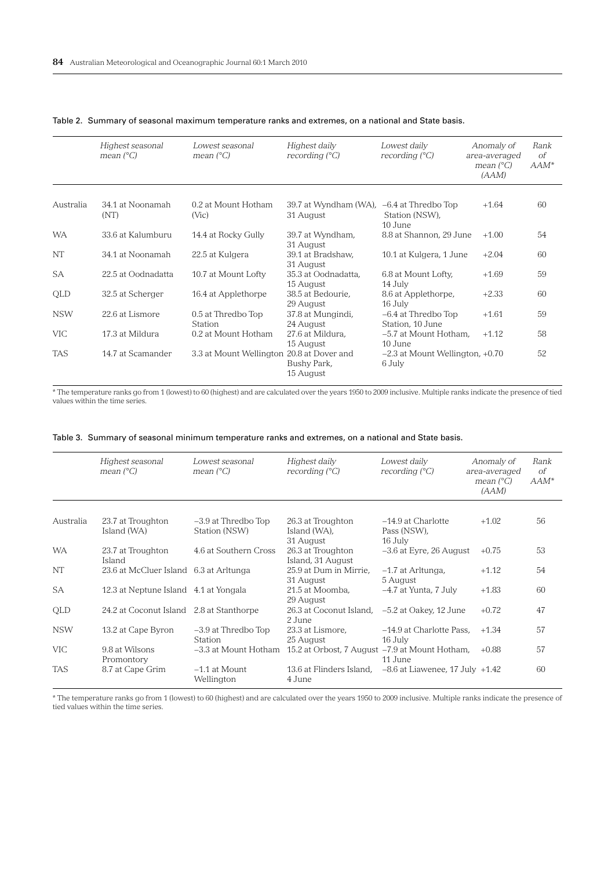|            | Highest seasonal<br>mean $(^{\circ}C)$ | Lowest seasonal<br>mean $(^{\circ}C)$ | Highest daily<br>recording $(^{\circ}C)$      | Lowest daily<br>recording $(^{\circ}C)$            | Anomaly of<br>area-averaged<br>mean $(^{\circ}C)$<br>(AAM) | Rank<br>$\sigma$ f<br>$AAM^*$ |
|------------|----------------------------------------|---------------------------------------|-----------------------------------------------|----------------------------------------------------|------------------------------------------------------------|-------------------------------|
|            |                                        |                                       |                                               |                                                    |                                                            |                               |
| Australia  | 34.1 at Noonamah<br>(NT)               | 0.2 at Mount Hotham<br>(Vic)          | 39.7 at Wyndham (WA),<br>31 August            | $-6.4$ at Thredbo Top<br>Station (NSW),<br>10 June | $+1.64$                                                    | 60                            |
| <b>WA</b>  | 33.6 at Kalumburu                      | 14.4 at Rocky Gully                   | 39.7 at Wyndham,<br>31 August                 | 8.8 at Shannon, 29 June                            | $+1.00$                                                    | 54                            |
| <b>NT</b>  | 34.1 at Noonamah                       | 22.5 at Kulgera                       | 39.1 at Bradshaw,<br>31 August                | 10.1 at Kulgera, 1 June                            | $+2.04$                                                    | 60                            |
| <b>SA</b>  | 22.5 at Oodnadatta                     | 10.7 at Mount Lofty                   | 35.3 at Oodnadatta,<br>15 August              | 6.8 at Mount Lofty,<br>14 July                     | $+1.69$                                                    | 59                            |
| QLD        | 32.5 at Scherger                       | 16.4 at Applethorpe                   | 38.5 at Bedourie,<br>29 August                | 8.6 at Applethorpe,<br>16 July                     | $+2.33$                                                    | 60                            |
| <b>NSW</b> | 22.6 at Lismore                        | 0.5 at Thredbo Top<br>Station         | 37.8 at Mungindi,<br>24 August                | -6.4 at Thredbo Top<br>Station, 10 June            | $+1.61$                                                    | 59                            |
| <b>VIC</b> | 17.3 at Mildura                        | 0.2 at Mount Hotham                   | 27.6 at Mildura,<br>15 August                 | -5.7 at Mount Hotham,<br>10 June                   | $+1.12$                                                    | 58                            |
| <b>TAS</b> | 14.7 at Scamander                      | 3.3 at Mount Wellington               | 20.8 at Dover and<br>Bushy Park,<br>15 August | $-2.3$ at Mount Wellington, $+0.70$<br>6 July      |                                                            | 52                            |

## Table 2. Summary of seasonal maximum temperature ranks and extremes, on a national and State basis.

\* The temperature ranks go from 1 (lowest) to 60 (highest) and are calculated over the years 1950 to 2009 inclusive. Multiple ranks indicate the presence of tied values within the time series.

|  |  |  |  |  | Table 3. Summary of seasonal minimum temperature ranks and extremes, on a national and State basis. |  |  |  |  |  |  |  |
|--|--|--|--|--|-----------------------------------------------------------------------------------------------------|--|--|--|--|--|--|--|
|--|--|--|--|--|-----------------------------------------------------------------------------------------------------|--|--|--|--|--|--|--|

|            | Highest seasonal<br>mean $(^{\circ}C)$   | Lowest seasonal<br>mean $(^{\circ}C)$ | Highest daily<br>recording $(^{\circ}C)$       | Lowest daily<br>recording $(^{\circ}C)$ | Anomaly of<br>area-averaged<br>mean $(^{\circ}C)$<br>(AAM) | Rank<br>$\sigma$ f<br>$AAM^*$ |
|------------|------------------------------------------|---------------------------------------|------------------------------------------------|-----------------------------------------|------------------------------------------------------------|-------------------------------|
| Australia  | 23.7 at Troughton                        | $-3.9$ at Thredbo Top                 | 26.3 at Troughton                              | $-14.9$ at Charlotte                    | $+1.02$                                                    | 56                            |
|            | Island (WA)                              | Station (NSW)                         | Island (WA),<br>31 August                      | Pass (NSW),<br>16 July                  |                                                            |                               |
| <b>WA</b>  | 23.7 at Troughton<br>Island              | 4.6 at Southern Cross                 | 26.3 at Troughton<br>Island, 31 August         | $-3.6$ at Eyre, 26 August               | $+0.75$                                                    | 53                            |
| NT         | 23.6 at McCluer Island 6.3 at Arltunga   |                                       | 25.9 at Dum in Mirrie,<br>31 August            | $-1.7$ at Arltunga,<br>5 August         | $+1.12$                                                    | 54                            |
| <b>SA</b>  | 12.3 at Neptune Island 4.1 at Yongala    |                                       | 21.5 at Moomba.<br>29 August                   | $-4.7$ at Yunta, 7 July                 | $+1.83$                                                    | 60                            |
| <b>OLD</b> | 24.2 at Coconut Island 2.8 at Stanthorpe |                                       | 26.3 at Coconut Island,<br>2 June              | -5.2 at Oakey, 12 June                  | $+0.72$                                                    | 47                            |
| <b>NSW</b> | 13.2 at Cape Byron                       | $-3.9$ at Thredbo Top<br>Station      | 23.3 at Lismore,<br>25 August                  | -14.9 at Charlotte Pass,<br>16 July     | $+1.34$                                                    | 57                            |
| <b>VIC</b> | 9.8 at Wilsons<br>Promontory             | -3.3 at Mount Hotham                  | 15.2 at Orbost, 7 August -7.9 at Mount Hotham, | 11 June                                 | $+0.88$                                                    | 57                            |
| <b>TAS</b> | 8.7 at Cape Grim                         | $-1.1$ at Mount<br>Wellington         | 13.6 at Flinders Island.<br>4 June             | $-8.6$ at Liawenee, 17 July $+1.42$     |                                                            | 60                            |

\* The temperature ranks go from 1 (lowest) to 60 (highest) and are calculated over the years 1950 to 2009 inclusive. Multiple ranks indicate the presence of tied values within the time series.